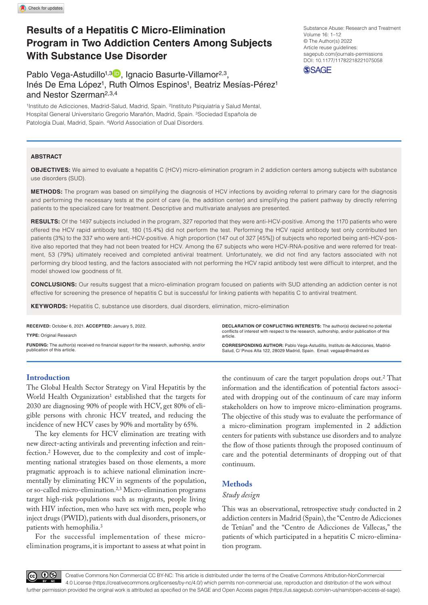# **Results of a Hepatitis C Micro-Elimination Program in Two Addiction Centers Among Subjects With Substance Use Disorder**

Pablo Vega-Astudillo<sup>1,3</sup> , Ignacio Basurte-Villamor<sup>2,3</sup>, Inés De Ema López<sup>1</sup>, Ruth Olmos Espinos<sup>1</sup>, Beatriz Mesías-Pérez<sup>1</sup> and Nestor Szerman2,3,4

1Instituto de Adicciones, Madrid-Salud, Madrid, Spain. <sup>2</sup>Instituto Psiquiatría y Salud Mental, Hospital General Universitario Gregorio Marañón, Madrid, Spain. 3Sociedad Española de Patología Dual, Madrid, Spain. 4World Association of Dual Disorders.

### **ABSTRACT**

**OBJECTIVES:** We aimed to evaluate a hepatitis C (HCV) micro-elimination program in 2 addiction centers among subjects with substance use disorders (SUD).

**Methods:** The program was based on simplifying the diagnosis of HCV infections by avoiding referral to primary care for the diagnosis and performing the necessary tests at the point of care (ie, the addition center) and simplifying the patient pathway by directly referring patients to the specialized care for treatment. Descriptive and multivariate analyses are presented.

RESULTS: Of the 1497 subjects included in the program, 327 reported that they were anti-HCV-positive. Among the 1170 patients who were offered the HCV rapid antibody test, 180 (15.4%) did not perform the test. Performing the HCV rapid antibody test only contributed ten patients (3%) to the 337 who were anti-HCV-positive. A high proportion (147 out of 327 [45%]) of subjects who reported being anti-HCV-positive also reported that they had not been treated for HCV. Among the 67 subjects who were HCV-RNA-positive and were referred for treatment, 53 (79%) ultimately received and completed antiviral treatment. Unfortunately, we did not find any factors associated with not performing dry blood testing, and the factors associated with not performing the HCV rapid antibody test were difficult to interpret, and the model showed low goodness of fit.

**Conclusions:** Our results suggest that a micro-elimination program focused on patients with SUD attending an addiction center is not effective for screening the presence of hepatitis C but is successful for linking patients with hepatitis C to antiviral treatment.

**KEYWORDS:** Hepatitis C, substance use disorders, dual disorders, elimination, micro-elimination

**RECEIVED:** October 6, 2021. **ACCEPTED:** January 5, 2022. **Type:** Original Research **Funding:** The author(s) received no financial support for the research, authorship, and/or publication of this article.

**Declaration of conflicting interests:** The author(s) declared no potential conflicts of interest with respect to the research, authorship, and/or publication of this article.

**CORRESPONDING AUTHOR:** Pablo Vega-Astudillo, Instituto de Adicciones, Madrid-Salud, C/ Pinos Alta 122, 28029 Madrid, Spain. Email: [vegaap@madrid.es](mailto:vegaap@madrid.es)

### **Introduction**

The Global Health Sector Strategy on Viral Hepatitis by the World Health Organization<sup>1</sup> established that the targets for 2030 are diagnosing 90% of people with HCV, get 80% of eligible persons with chronic HCV treated, and reducing the incidence of new HCV cases by 90% and mortality by 65%.

The key elements for HCV elimination are treating with new direct-acting antivirals and preventing infection and reinfection.2 However, due to the complexity and cost of implementing national strategies based on those elements, a more pragmatic approach is to achieve national elimination incrementally by eliminating HCV in segments of the population, or so-called micro-elimination.2,3 Micro-elimination programs target high-risk populations such as migrants, people living with HIV infection, men who have sex with men, people who inject drugs (PWID), patients with dual disorders, prisoners, or patients with hemophilia.3

For the successful implementation of these microelimination programs, it is important to assess at what point in

the continuum of care the target population drops out.<sup>2</sup> That information and the identification of potential factors associated with dropping out of the continuum of care may inform stakeholders on how to improve micro-elimination programs. The objective of this study was to evaluate the performance of a micro-elimination program implemented in 2 addiction centers for patients with substance use disorders and to analyze the flow of those patients through the proposed continuum of care and the potential determinants of dropping out of that continuum.

# **Methods**

### *Study design*

This was an observational, retrospective study conducted in 2 addiction centers in Madrid (Spain), the "Centro de Adicciones de Tetúan" and the "Centro de Adicciones de Vallecas," the patients of which participated in a hepatitis C micro-elimination program.

DOI: 10.1177/11782218221075058 Substance Abuse: Research and Treatment Volume 16: 1–12 © The Author(s) 2022 Article reuse guidelines: [sagepub.com/journals-permissions](https://uk.sagepub.com/en-gb/journals-permissions)

**SSAGE** 

60 Q

Creative Commons Non Commercial CC BY-NC: This article is distributed under the terms of the Creative Commons Attribution-NonCommercial 4.0 License (https://creativecommons.org/licenses/by-nc/4.0/) which permits non-commercial use, reproduction and distribution of the work without further permission provided the original work is attributed as specified on the SAGE and Open Access pages (https://us.sagepub.com/en-us/nam/open-access-at-sage).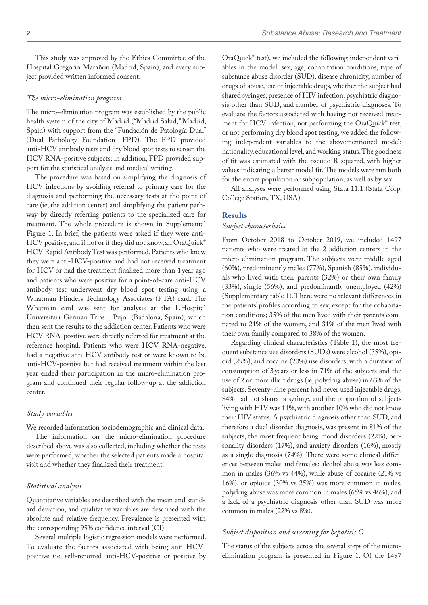This study was approved by the Ethics Committee of the Hospital Gregorio Marañón (Madrid, Spain), and every subject provided written informed consent.

#### *The micro-elimination program*

The micro-elimination program was established by the public health system of the city of Madrid ("Madrid Salud," Madrid, Spain) with support from the "Fundación de Patología Dual" (Dual Pathology Foundation—FPD). The FPD provided anti-HCV antibody tests and dry blood spot tests to screen the HCV RNA-positive subjects; in addition, FPD provided support for the statistical analysis and medical writing.

The procedure was based on simplifying the diagnosis of HCV infections by avoiding referral to primary care for the diagnosis and performing the necessary tests at the point of care (ie, the addition center) and simplifying the patient pathway by directly referring patients to the specialized care for treatment. The whole procedure is shown in Supplemental Figure 1. In brief, the patients were asked if they were anti-HCV positive, and if not or if they did not know, an OraQuick® HCV Rapid Antibody Test was performed. Patients who knew they were anti-HCV-positive and had not received treatment for HCV or had the treatment finalized more than 1 year ago and patients who were positive for a point-of-care anti-HCV antibody test underwent dry blood spot testing using a Whatman Flinders Technology Associates (FTA) card. The Whatman card was sent for analysis at the L'Hospital Universitari German Trias i Pujol (Badalona, Spain), which then sent the results to the addiction center. Patients who were HCV RNA-positive were directly referred for treatment at the reference hospital. Patients who were HCV RNA-negative, had a negative anti-HCV antibody test or were known to be anti-HCV-positive but had received treatment within the last year ended their participation in the micro-elimination program and continued their regular follow-up at the addiction center.

### *Study variables*

We recorded information sociodemographic and clinical data. The information on the micro-elimination procedure described above was also collected, including whether the tests were performed, whether the selected patients made a hospital visit and whether they finalized their treatment.

### *Statistical analysis*

Quantitative variables are described with the mean and standard deviation, and qualitative variables are described with the absolute and relative frequency. Prevalence is presented with the corresponding 95% confidence interval (CI).

Several multiple logistic regression models were performed. To evaluate the factors associated with being anti-HCVpositive (ie, self-reported anti-HCV-positive or positive by

OraQuick® test), we included the following independent variables in the model: sex, age, cohabitation conditions, type of substance abuse disorder (SUD), disease chronicity, number of drugs of abuse, use of injectable drugs, whether the subject had shared syringes, presence of HIV infection, psychiatric diagnosis other than SUD, and number of psychiatric diagnoses. To evaluate the factors associated with having not received treatment for HCV infection, not performing the OraQuick® test, or not performing dry blood spot testing, we added the following independent variables to the abovementioned model: nationality, educational level, and working status. The goodness of fit was estimated with the pseudo R-squared, with higher values indicating a better model fit. The models were run both for the entire population or subpopulation, as well as by sex.

All analyses were performed using Stata 11.1 (Stata Corp, College Station, TX, USA).

### **Results**

### *Subject characteristics*

From October 2018 to October 2019, we included 1497 patients who were treated at the 2 addiction centers in the micro-elimination program. The subjects were middle-aged (60%), predominantly males (77%), Spanish (85%), individuals who lived with their parents (32%) or their own family (33%), single (56%), and predominantly unemployed (42%) (Supplementary table 1). There were no relevant differences in the patients' profiles according to sex, except for the cohabitation conditions; 35% of the men lived with their parents compared to 21% of the women, and 31% of the men lived with their own family compared to 38% of the women.

Regarding clinical characteristics (Table 1), the most frequent substance use disorders (SUDs) were alcohol (38%), opioid (29%), and cocaine (20%) use disorders, with a duration of consumption of 3 years or less in 71% of the subjects and the use of 2 or more illicit drugs (ie, polydrug abuse) in 63% of the subjects. Seventy-nine percent had never used injectable drugs, 84% had not shared a syringe, and the proportion of subjects living with HIV was 11%, with another 10% who did not know their HIV status. A psychiatric diagnosis other than SUD, and therefore a dual disorder diagnosis, was present in 81% of the subjects, the most frequent being mood disorders (22%), personality disorders (17%), and anxiety disorders (16%), mostly as a single diagnosis (74%). There were some clinical differences between males and females: alcohol abuse was less common in males (36% vs 44%), while abuse of cocaine (21% vs 16%), or opioids (30% vs 25%) was more common in males, polydrug abuse was more common in males (65% vs 46%), and a lack of a psychiatric diagnosis other than SUD was more common in males (22% vs 8%).

## *Subject disposition and screening for hepatitis C*

The status of the subjects across the several steps of the microelimination program is presented in Figure 1. Of the 1497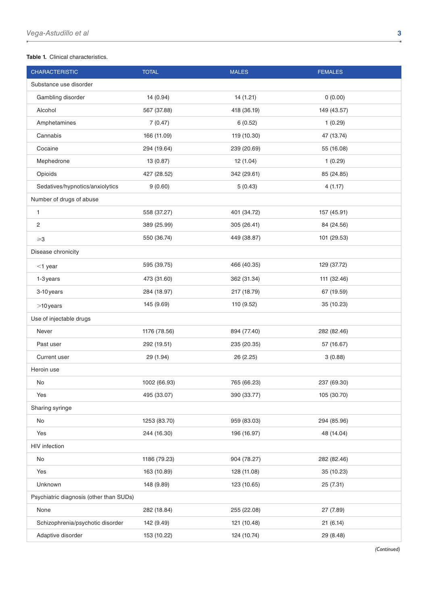j.

### **Table 1.** Clinical characteristics.

| <b>CHARACTERISTIC</b>                   | <b>TOTAL</b> | <b>MALES</b> | <b>FEMALES</b> |  |
|-----------------------------------------|--------------|--------------|----------------|--|
| Substance use disorder                  |              |              |                |  |
| Gambling disorder                       | 14 (0.94)    | 14(1.21)     | 0(0.00)        |  |
| Alcohol                                 | 567 (37.88)  | 418 (36.19)  | 149 (43.57)    |  |
| Amphetamines                            | 7(0.47)      | 6(0.52)      | 1(0.29)        |  |
| Cannabis                                | 166 (11.09)  | 119 (10.30)  | 47 (13.74)     |  |
| Cocaine                                 | 294 (19.64)  | 239 (20.69)  | 55 (16.08)     |  |
| Mephedrone                              | 13 (0.87)    | 12 (1.04)    | 1(0.29)        |  |
| Opioids                                 | 427 (28.52)  | 342 (29.61)  | 85 (24.85)     |  |
| Sedatives/hypnotics/anxiolytics         | 9(0.60)      | 5(0.43)      | 4(1.17)        |  |
| Number of drugs of abuse                |              |              |                |  |
| 1                                       | 558 (37.27)  | 401 (34.72)  | 157 (45.91)    |  |
| $\overline{c}$                          | 389 (25.99)  | 305 (26.41)  | 84 (24.56)     |  |
| $\geqslant$ 3                           | 550 (36.74)  | 449 (38.87)  | 101 (29.53)    |  |
| Disease chronicity                      |              |              |                |  |
| $<$ 1 year                              | 595 (39.75)  | 466 (40.35)  | 129 (37.72)    |  |
| 1-3 years                               | 473 (31.60)  | 362 (31.34)  | 111 (32.46)    |  |
| 3-10 years                              | 284 (18.97)  | 217 (18.79)  | 67 (19.59)     |  |
| $>10$ years                             | 145 (9.69)   | 110 (9.52)   | 35 (10.23)     |  |
| Use of injectable drugs                 |              |              |                |  |
| Never                                   | 1176 (78.56) | 894 (77.40)  | 282 (82.46)    |  |
| Past user                               | 292 (19.51)  | 235 (20.35)  | 57 (16.67)     |  |
| Current user                            | 29 (1.94)    | 26 (2.25)    | 3(0.88)        |  |
| Heroin use                              |              |              |                |  |
| No                                      | 1002 (66.93) | 765 (66.23)  | 237 (69.30)    |  |
| Yes                                     | 495 (33.07)  | 390 (33.77)  | 105 (30.70)    |  |
| Sharing syringe                         |              |              |                |  |
| No                                      | 1253 (83.70) | 959 (83.03)  | 294 (85.96)    |  |
| Yes                                     | 244 (16.30)  | 196 (16.97)  | 48 (14.04)     |  |
| <b>HIV</b> infection                    |              |              |                |  |
| $\operatorname{\mathsf{No}}$            | 1186 (79.23) | 904 (78.27)  | 282 (82.46)    |  |
| Yes                                     | 163 (10.89)  | 128 (11.08)  | 35 (10.23)     |  |
| Unknown                                 | 148 (9.89)   | 123 (10.65)  | 25(7.31)       |  |
| Psychiatric diagnosis (other than SUDs) |              |              |                |  |
| None                                    | 282 (18.84)  | 255 (22.08)  | 27 (7.89)      |  |
| Schizophrenia/psychotic disorder        | 142 (9.49)   | 121 (10.48)  | 21(6.14)       |  |
| Adaptive disorder                       | 153 (10.22)  | 124 (10.74)  | 29 (8.48)      |  |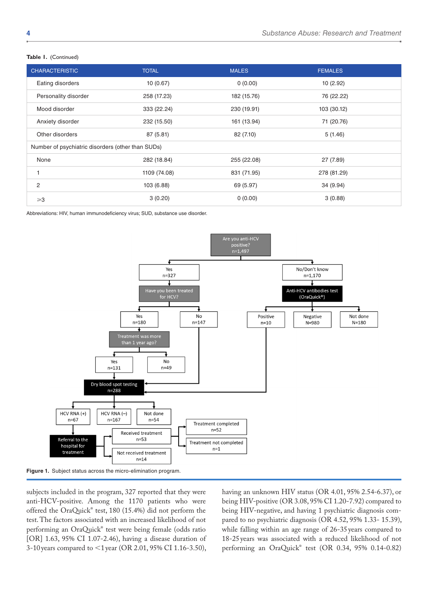#### **Table 1.** (Continued)

| <b>CHARACTERISTIC</b>                             | <b>TOTAL</b> | <b>MALES</b> | <b>FEMALES</b> |  |
|---------------------------------------------------|--------------|--------------|----------------|--|
| Eating disorders                                  | 10(0.67)     | 0(0.00)      | 10(2.92)       |  |
| Personality disorder                              | 258 (17.23)  | 182 (15.76)  | 76 (22.22)     |  |
| Mood disorder                                     | 333 (22.24)  | 230 (19.91)  | 103 (30.12)    |  |
| Anxiety disorder                                  | 232 (15.50)  | 161 (13.94)  | 71 (20.76)     |  |
| Other disorders                                   | 87 (5.81)    | 82 (7.10)    | 5(1.46)        |  |
| Number of psychiatric disorders (other than SUDs) |              |              |                |  |
| None                                              | 282 (18.84)  | 255 (22.08)  | 27 (7.89)      |  |
| 1                                                 | 1109 (74.08) | 831 (71.95)  | 278 (81.29)    |  |
| $\overline{2}$                                    | 103 (6.88)   | 69 (5.97)    | 34 (9.94)      |  |
| $\geq 3$                                          | 3(0.20)      | 0(0.00)      | 3(0.88)        |  |

Abbreviations: HIV, human immunodeficiency virus; SUD, substance use disorder.



subjects included in the program, 327 reported that they were anti-HCV-positive. Among the 1170 patients who were offered the OraQuick® test, 180 (15.4%) did not perform the test. The factors associated with an increased likelihood of not performing an OraQuick® test were being female (odds ratio [OR] 1.63, 95% CI 1.07-2.46), having a disease duration of 3-10 years compared to <1 year (OR 2.01, 95% CI 1.16-3.50),

having an unknown HIV status (OR 4.01, 95% 2.54-6.37), or being HIV-positive (OR 3.08, 95% CI 1.20-7.92) compared to being HIV-negative, and having 1 psychiatric diagnosis compared to no psychiatric diagnosis (OR 4.52, 95% 1.33- 15.39), while falling within an age range of 26-35 years compared to 18-25years was associated with a reduced likelihood of not performing an OraQuick® test (OR 0.34, 95% 0.14-0.82)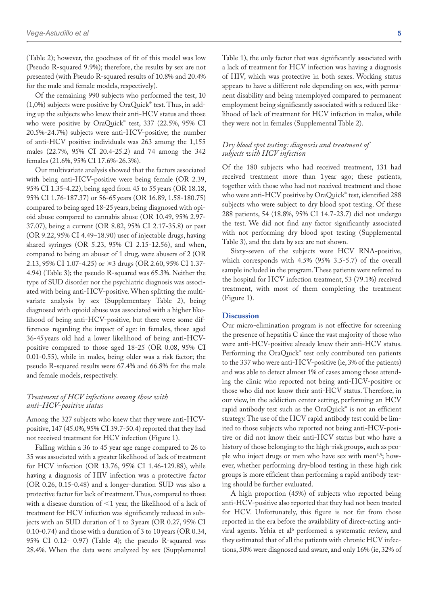(Table 2); however, the goodness of fit of this model was low (Pseudo R-squared 9.9%); therefore, the results by sex are not presented (with Pseudo R-squared results of 10.8% and 20.4% for the male and female models, respectively).

Of the remaining 990 subjects who performed the test, 10  $(1,0\%)$  subjects were positive by OraQuick® test. Thus, in adding up the subjects who knew their anti-HCV status and those who were positive by OraQuick® test, 337 (22.5%, 95% CI 20.5%-24.7%) subjects were anti-HCV-positive; the number of anti-HCV positive individuals was 263 among the 1,155 males (22.7%, 95% CI 20.4-25.2) and 74 among the 342 females (21.6%, 95% CI 17.6%-26.3%).

Our multivariate analysis showed that the factors associated with being anti-HCV-positive were being female (OR 2.39, 95% CI 1.35-4.22), being aged from 45 to 55 years (OR 18.18, 95% CI 1.76-187.37) or 56-65years (OR 16.89, 1.58-180.75) compared to being aged 18-25years, being diagnosed with opioid abuse compared to cannabis abuse (OR 10.49, 95% 2.97- 37.07), being a current (OR 8.82, 95% CI 2.17-35.8) or past (OR 9.22, 95% CI 4.49–18.90) user of injectable drugs, having shared syringes (OR 5.23, 95% CI 2.15-12.56), and when, compared to being an abuser of 1 drug, were abusers of 2 (OR 2.13, 95% CI 1.07-4.25) or  $\geq$ 3 drugs (OR 2.60, 95% CI 1.37-4.94) (Table 3); the pseudo R-squared was 65.3%. Neither the type of SUD disorder nor the psychiatric diagnosis was associated with being anti-HCV-positive. When splitting the multivariate analysis by sex (Supplementary Table 2), being diagnosed with opioid abuse was associated with a higher likelihood of being anti-HCV-positive, but there were some differences regarding the impact of age: in females, those aged 36-45years old had a lower likelihood of being anti-HCVpositive compared to those aged 18-25 (OR 0.08, 95% CI 0.01-0.55), while in males, being older was a risk factor; the pseudo R-squared results were 67.4% and 66.8% for the male and female models, respectively.

# *Treatment of HCV infections among those with anti-HCV-positive status*

Among the 327 subjects who knew that they were anti-HCVpositive, 147 (45.0%, 95% CI 39.7-50.4) reported that they had not received treatment for HCV infection (Figure 1).

Falling within a 36 to 45 year age range compared to 26 to 35 was associated with a greater likelihood of lack of treatment for HCV infection (OR 13.76, 95% CI 1.46-129.88), while having a diagnosis of HIV infection was a protective factor (OR 0.26, 0.15-0.48) and a longer-duration SUD was also a protective factor for lack of treatment. Thus, compared to those with a disease duration of  $\leq 1$  year, the likelihood of a lack of treatment for HCV infection was significantly reduced in subjects with an SUD duration of 1 to 3 years (OR 0.27, 95% CI 0.10-0.74) and those with a duration of 3 to 10 years (OR 0.34, 95% CI 0.12- 0.97) (Table 4); the pseudo R-squared was 28.4%. When the data were analyzed by sex (Supplemental

Table 1), the only factor that was significantly associated with a lack of treatment for HCV infection was having a diagnosis of HIV, which was protective in both sexes. Working status appears to have a different role depending on sex, with permanent disability and being unemployed compared to permanent employment being significantly associated with a reduced likelihood of lack of treatment for HCV infection in males, while they were not in females (Supplemental Table 2).

## *Dry blood spot testing: diagnosis and treatment of subjects with HCV infection*

Of the 180 subjects who had received treatment, 131 had received treatment more than 1year ago; these patients, together with those who had not received treatment and those who were anti-HCV positive by OraQuick® test, identified 288 subjects who were subject to dry blood spot testing. Of these 288 patients, 54 (18.8%, 95% CI 14.7-23.7) did not undergo the test. We did not find any factor significantly associated with not performing dry blood spot testing (Supplemental Table 3), and the data by sex are not shown.

Sixty-seven of the subjects were HCV RNA-positive, which corresponds with 4.5% (95% 3.5-5.7) of the overall sample included in the program. These patients were referred to the hospital for HCV infection treatment, 53 (79.1%) received treatment, with most of them completing the treatment (Figure 1).

### **Discussion**

Our micro-elimination program is not effective for screening the presence of hepatitis C since the vast majority of those who were anti-HCV-positive already knew their anti-HCV status. Performing the OraQuick® test only contributed ten patients to the 337 who were anti-HCV-positive (ie, 3% of the patients) and was able to detect almost 1% of cases among those attending the clinic who reported not being anti-HCV-positive or those who did not know their anti-HCV status. Therefore, in our view, in the addiction center setting, performing an HCV rapid antibody test such as the OraQuick® is not an efficient strategy. The use of the HCV rapid antibody test could be limited to those subjects who reported not being anti-HCV-positive or did not know their anti-HCV status but who have a history of those belonging to the high-risk groups, such as people who inject drugs or men who have sex with men<sup>4,5</sup>; however, whether performing dry-blood testing in these high risk groups is more efficient than performing a rapid antibody testing should be further evaluated.

A high proportion (45%) of subjects who reported being anti-HCV-positive also reported that they had not been treated for HCV. Unfortunately, this figure is not far from those reported in the era before the availability of direct-acting antiviral agents. Yehia et al<sup>6</sup> performed a systematic review, and they estimated that of all the patients with chronic HCV infections, 50% were diagnosed and aware, and only 16% (ie, 32% of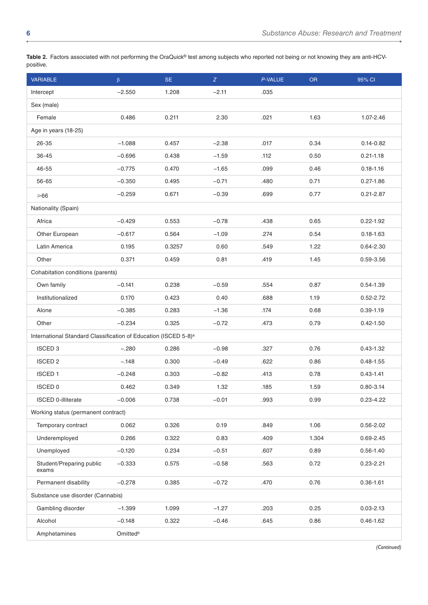| <b>VARIABLE</b>                                                             | $\beta$              | <b>SE</b> | Z       | P-VALUE | <b>OR</b> | 95% CI        |
|-----------------------------------------------------------------------------|----------------------|-----------|---------|---------|-----------|---------------|
| Intercept                                                                   | $-2.550$             | 1.208     | $-2.11$ | .035    |           |               |
| Sex (male)                                                                  |                      |           |         |         |           |               |
| Female                                                                      | 0.486                | 0.211     | 2.30    | .021    | 1.63      | 1.07-2.46     |
| Age in years (18-25)                                                        |                      |           |         |         |           |               |
| 26-35                                                                       | $-1.088$             | 0.457     | $-2.38$ | .017    | 0.34      | $0.14 - 0.82$ |
| 36-45                                                                       | $-0.696$             | 0.438     | $-1.59$ | .112    | 0.50      | $0.21 - 1.18$ |
| 46-55                                                                       | $-0.775$             | 0.470     | $-1.65$ | .099    | 0.46      | $0.18 - 1.16$ |
| 56-65                                                                       | $-0.350$             | 0.495     | $-0.71$ | .480    | 0.71      | $0.27 - 1.86$ |
| ≥66                                                                         | $-0.259$             | 0.671     | $-0.39$ | .699    | 0.77      | $0.21 - 2.87$ |
| Nationality (Spain)                                                         |                      |           |         |         |           |               |
| Africa                                                                      | $-0.429$             | 0.553     | $-0.78$ | .438    | 0.65      | $0.22 - 1.92$ |
| Other European                                                              | $-0.617$             | 0.564     | $-1.09$ | .274    | 0.54      | $0.18 - 1.63$ |
| Latin America                                                               | 0.195                | 0.3257    | 0.60    | .549    | 1.22      | $0.64 - 2.30$ |
| Other                                                                       | 0.371                | 0.459     | 0.81    | .419    | 1.45      | 0.59-3.56     |
| Cohabitation conditions (parents)                                           |                      |           |         |         |           |               |
| Own family                                                                  | $-0.141$             | 0.238     | $-0.59$ | .554    | 0.87      | $0.54 - 1.39$ |
| Institutionalized                                                           | 0.170                | 0.423     | 0.40    | .688    | 1.19      | $0.52 - 2.72$ |
| Alone                                                                       | $-0.385$             | 0.283     | $-1.36$ | .174    | 0.68      | $0.39 - 1.19$ |
| Other                                                                       | $-0.234$             | 0.325     | $-0.72$ | .473    | 0.79      | $0.42 - 1.50$ |
| International Standard Classification of Education (ISCED 5-8) <sup>a</sup> |                      |           |         |         |           |               |
| <b>ISCED 3</b>                                                              | $-.280$              | 0.286     | $-0.98$ | .327    | 0.76      | $0.43 - 1.32$ |
| <b>ISCED 2</b>                                                              | $-.148$              | 0.300     | $-0.49$ | .622    | 0.86      | $0.48 - 1.55$ |
| <b>ISCED1</b>                                                               | $-0.248$             | 0.303     | $-0.82$ | .413    | 0.78      | $0.43 - 1.41$ |
| <b>ISCED 0</b>                                                              | 0.462                | 0.349     | 1.32    | .185    | 1.59      | $0.80 - 3.14$ |
| <b>ISCED 0-illiterate</b>                                                   | $-0.006$             | 0.738     | $-0.01$ | .993    | 0.99      | $0.23 - 4.22$ |
| Working status (permanent contract)                                         |                      |           |         |         |           |               |
| Temporary contract                                                          | 0.062                | 0.326     | 0.19    | .849    | 1.06      | $0.56 - 2.02$ |
| Underemployed                                                               | 0.266                | 0.322     | 0.83    | .409    | 1.304     | $0.69 - 2.45$ |
| Unemployed                                                                  | $-0.120$             | 0.234     | $-0.51$ | .607    | 0.89      | $0.56 - 1.40$ |
| Student/Preparing public<br>exams                                           | $-0.333$             | 0.575     | $-0.58$ | .563    | 0.72      | $0.23 - 2.21$ |
| Permanent disability                                                        | $-0.278$             | 0.385     | $-0.72$ | .470    | 0.76      | $0.36 - 1.61$ |
| Substance use disorder (Cannabis)                                           |                      |           |         |         |           |               |
| Gambling disorder                                                           | $-1.399$             | 1.099     | $-1.27$ | .203    | 0.25      | $0.03 - 2.13$ |
| Alcohol                                                                     | $-0.148$             | 0.322     | $-0.46$ | .645    | 0.86      | $0.46 - 1.62$ |
| Amphetamines                                                                | Omitted <sup>b</sup> |           |         |         |           |               |

Table 2. Factors associated with not performing the OraQuick® test among subjects who reported not being or not knowing they are anti-HCVpositive.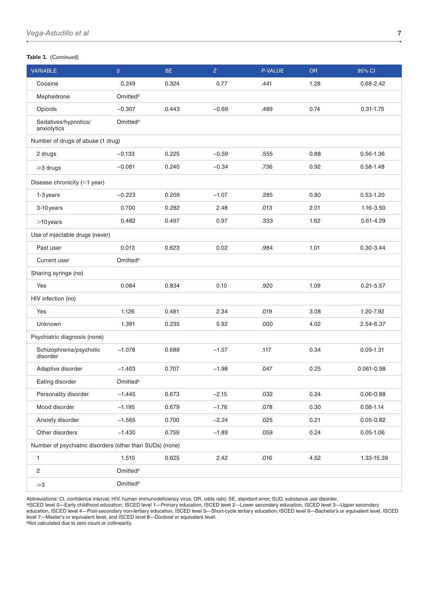### **Table 2.** (Continued)

| <b>VARIABLE</b>                                          | $\beta$              | <b>SE</b> | Z       | P-VALUE | OR.  | 95% CI         |
|----------------------------------------------------------|----------------------|-----------|---------|---------|------|----------------|
| Cocaine                                                  | 0.249                | 0.324     | 0.77    | .441    | 1.28 | $0.68 - 2.42$  |
| Mephedrone                                               | Omitted <sup>b</sup> |           |         |         |      |                |
| Opioids                                                  | $-0.307$             | 0.443     | $-0.69$ | .489    | 0.74 | $0.31 - 1.75$  |
| Sedatives/hypnotics/<br>anxiolytics                      | Omitted <sup>b</sup> |           |         |         |      |                |
| Number of drugs of abuse (1 drug)                        |                      |           |         |         |      |                |
| 2 drugs                                                  | $-0.133$             | 0.225     | $-0.59$ | .555    | 0.88 | $0.56 - 1.36$  |
| $\geq 3$ drugs                                           | $-0.081$             | 0.240     | $-0.34$ | .736    | 0.92 | $0.58 - 1.48$  |
| Disease chronicity (<1 year)                             |                      |           |         |         |      |                |
| 1-3 years                                                | $-0.223$             | 0.209     | $-1.07$ | .285    | 0.80 | $0.53 - 1.20$  |
| 3-10 years                                               | 0.700                | 0.282     | 2.48    | .013    | 2.01 | 1.16-3.50      |
| $>10$ years                                              | 0.482                | 0.497     | 0.97    | .333    | 1.62 | $0.61 - 4.29$  |
| Use of injectable drugs (never)                          |                      |           |         |         |      |                |
| Past user                                                | 0.013                | 0.623     | 0.02    | .984    | 1.01 | $0.30 - 3.44$  |
| Current user                                             | Omitted <sup>b</sup> |           |         |         |      |                |
| Sharing syringe (no)                                     |                      |           |         |         |      |                |
| Yes                                                      | 0.084                | 0.834     | 0.10    | .920    | 1.09 | $0.21 - 5.57$  |
| HIV infection (no)                                       |                      |           |         |         |      |                |
| Yes                                                      | 1.126                | 0.481     | 2.34    | .019    | 3.08 | 1.20-7.92      |
| Unknown                                                  | 1.391                | 0.235     | 5.92    | .000    | 4.02 | 2.54-6.37      |
| Psychiatric diagnosis (none)                             |                      |           |         |         |      |                |
| Schizophrenia/psychotic<br>disorder                      | $-1.078$             | 0.688     | $-1.57$ | .117    | 0.34 | $0.09 - 1.31$  |
| Adaptive disorder                                        | $-1.403$             | 0.707     | $-1.98$ | .047    | 0.25 | $0.061 - 0.98$ |
| Eating disorder                                          | Omitted <sup>b</sup> |           |         |         |      |                |
| Personality disorder                                     | $-1.445$             | 0.673     | $-2.15$ | .032    | 0.24 | $0.06 - 0.88$  |
| Mood disorder                                            | $-1.195$             | 0.679     | $-1.76$ | .078    | 0.30 | $0.08 - 1.14$  |
| Anxiety disorder                                         | $-1.565$             | 0.700     | $-2.24$ | .025    | 0.21 | $0.05 - 0.82$  |
| Other disorders                                          | $-1.430$             | 0.759     | $-1.89$ | .059    | 0.24 | $0.05 - 1.06$  |
| Number of psychiatric disorders (other than SUDs) (none) |                      |           |         |         |      |                |
| $\mathbf{1}$                                             | 1.510                | 0.625     | 2.42    | .016    | 4.52 | 1.33-15.39     |
| $\overline{c}$                                           | Omitted <sup>b</sup> |           |         |         |      |                |
| $\geqslant$ 3                                            | Omitted <sup>b</sup> |           |         |         |      |                |

Abbreviations: CI, confidence interval; HIV, human immunodeficiency virus; OR, odds ratio; SE, standard error; SUD, substance use disorder.

aISCED level 0—Early childhood education, ISCED level 1—Primary education, ISCED level 2—Lower secondary education, ISCED level 3—Upper secondary education, ISCED level 4—Post-secondary non-tertiary education, ISCED level 5—Short-cycle tertiary education; ISCED level 6—Bachelor's or equivalent level, ISCED level 7—Master's or equivalent level, and ISCED level 8—Doctoral or equivalent level.

**bNot calculated due to zero count or collinearity.**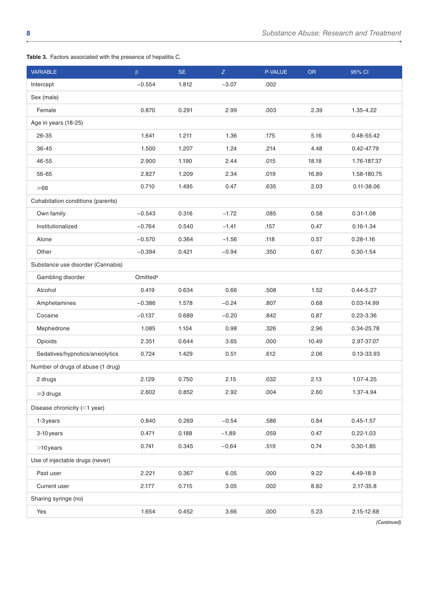| Table 3. Factors associated with the presence of hepatitis C. |  |
|---------------------------------------------------------------|--|
|---------------------------------------------------------------|--|

| VARIABLE                          | $\beta$              | <b>SE</b> | Z       | P-VALUE | <b>OR</b> | 95% CI         |
|-----------------------------------|----------------------|-----------|---------|---------|-----------|----------------|
| Intercept                         | $-0.554$             | 1.812     | $-3.07$ | .002    |           |                |
| Sex (male)                        |                      |           |         |         |           |                |
| Female                            | 0.870                | 0.291     | 2.99    | .003    | 2.39      | 1.35-4.22      |
| Age in years (18-25)              |                      |           |         |         |           |                |
| 26-35                             | 1.641                | 1.211     | 1.36    | .175    | 5.16      | 0.48-55.42     |
| 36-45                             | 1.500                | 1.207     | 1.24    | .214    | 4.48      | $0.42 - 47.79$ |
| 46-55                             | 2.900                | 1.190     | 2.44    | .015    | 18.18     | 1.76-187.37    |
| 56-65                             | 2.827                | 1.209     | 2.34    | .019    | 16.89     | 1.58-180.75    |
| $\geqslant 66$                    | 0.710                | 1.495     | 0.47    | .635    | 2.03      | 0.11-38.06     |
| Cohabitation conditions (parents) |                      |           |         |         |           |                |
| Own family                        | $-0.543$             | 0.316     | $-1.72$ | .085    | 0.58      | $0.31 - 1.08$  |
| Institutionalized                 | $-0.764$             | 0.540     | $-1.41$ | .157    | 0.47      | $0.16 - 1.34$  |
| Alone                             | $-0.570$             | 0.364     | $-1.56$ | .118    | 0.57      | $0.28 - 1.16$  |
| Other                             | $-0.394$             | 0.421     | $-0.94$ | .350    | 0.67      | $0.30 - 1.54$  |
| Substance use disorder (Cannabis) |                      |           |         |         |           |                |
| Gambling disorder                 | Omitted <sup>a</sup> |           |         |         |           |                |
| Alcohol                           | 0.419                | 0.634     | 0.66    | .508    | 1.52      | $0.44 - 5.27$  |
| Amphetamines                      | $-0.386$             | 1.578     | $-0.24$ | .807    | 0.68      | 0.03-14.99     |
| Cocaine                           | $-0.137$             | 0.689     | $-0.20$ | .842    | 0.87      | $0.23 - 3.36$  |
| Mephedrone                        | 1.085                | 1.104     | 0.98    | .326    | 2.96      | 0.34-25.78     |
| Opioids                           | 2.351                | 0.644     | 3.65    | .000    | 10.49     | 2.97-37.07     |
| Sedatives/hypnotics/anxiolytics   | 0.724                | 1.429     | 0.51    | .612    | 2.06      | 0.13-33.93     |
| Number of drugs of abuse (1 drug) |                      |           |         |         |           |                |
| 2 drugs                           | 2.129                | 0.750     | 2.15    | .032    | 2.13      | 1.07-4.25      |
| ≥3 drugs                          | 2.602                | 0.852     | 2.92    | .004    | 2.60      | 1.37-4.94      |
| Disease chronicity (<1 year)      |                      |           |         |         |           |                |
| 1-3 years                         | 0.840                | 0.269     | $-0.54$ | .586    | 0.84      | $0.45 - 1.57$  |
| 3-10 years                        | 0.471                | 0.188     | $-1,89$ | .059    | 0.47      | $0.22 - 1.03$  |
| $>10$ years                       | 0.741                | 0.345     | $-0,64$ | .519    | 0.74      | $0.30 - 1.85$  |
| Use of injectable drugs (never)   |                      |           |         |         |           |                |
| Past user                         | 2.221                | 0.367     | 6.05    | .000    | 9.22      | 4.49-18.9      |
| Current user                      | 2.177                | 0.715     | 3.05    | .002    | 8.82      | 2.17-35.8      |
| Sharing syringe (no)              |                      |           |         |         |           |                |
| Yes                               | 1.654                | 0.452     | 3.66    | .000    | 5.23      | 2.15-12.68     |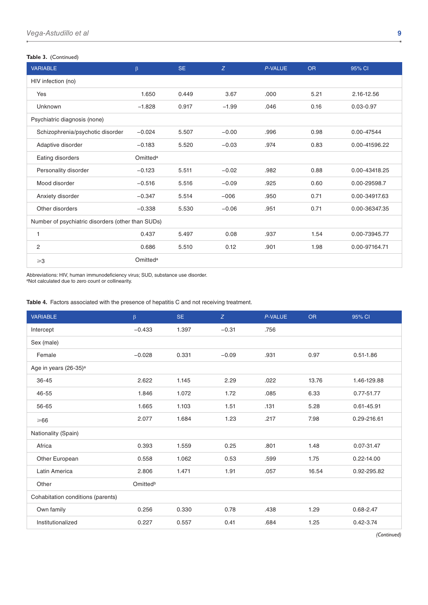### **Table 3.** (Continued)

| <b>VARIABLE</b>                                   | $\beta$              | <b>SE</b> | Z       | <b>P-VALUE</b> | <b>OR</b> | 95% CI        |  |  |  |
|---------------------------------------------------|----------------------|-----------|---------|----------------|-----------|---------------|--|--|--|
| HIV infection (no)                                |                      |           |         |                |           |               |  |  |  |
| Yes                                               | 1.650                | 0.449     | 3.67    | .000           | 5.21      | 2.16-12.56    |  |  |  |
| Unknown                                           | $-1.828$             | 0.917     | $-1.99$ | .046           | 0.16      | $0.03 - 0.97$ |  |  |  |
| Psychiatric diagnosis (none)                      |                      |           |         |                |           |               |  |  |  |
| Schizophrenia/psychotic disorder                  | $-0.024$             | 5.507     | $-0.00$ | .996           | 0.98      | 0.00-47544    |  |  |  |
| Adaptive disorder                                 | $-0.183$             | 5.520     | $-0.03$ | .974           | 0.83      | 0.00-41596.22 |  |  |  |
| Eating disorders                                  | Omitted <sup>a</sup> |           |         |                |           |               |  |  |  |
| Personality disorder                              | $-0.123$             | 5.511     | $-0.02$ | .982           | 0.88      | 0.00-43418.25 |  |  |  |
| Mood disorder                                     | $-0.516$             | 5.516     | $-0.09$ | .925           | 0.60      | 0.00-29598.7  |  |  |  |
| Anxiety disorder                                  | $-0.347$             | 5.514     | $-006$  | .950           | 0.71      | 0.00-34917.63 |  |  |  |
| Other disorders                                   | $-0.338$             | 5.530     | $-0.06$ | .951           | 0.71      | 0.00-36347.35 |  |  |  |
| Number of psychiatric disorders (other than SUDs) |                      |           |         |                |           |               |  |  |  |
| 1                                                 | 0.437                | 5.497     | 0.08    | .937           | 1.54      | 0.00-73945.77 |  |  |  |
| 2                                                 | 0.686                | 5.510     | 0.12    | .901           | 1.98      | 0.00-97164.71 |  |  |  |
| $\geq 3$                                          | Omitted <sup>a</sup> |           |         |                |           |               |  |  |  |

Abbreviations: HIV, human immunodeficiency virus; SUD, substance use disorder. aNot calculated due to zero count or collinearity.

**Table 4.** Factors associated with the presence of hepatitis C and not receiving treatment.

| <b>VARIABLE</b>                   | $\beta$              | SE.   | Z.      | <b>P-VALUE</b> | <b>OR</b> | 95% CI         |
|-----------------------------------|----------------------|-------|---------|----------------|-----------|----------------|
| Intercept                         | $-0.433$             | 1.397 | $-0.31$ | .756           |           |                |
| Sex (male)                        |                      |       |         |                |           |                |
| Female                            | $-0.028$             | 0.331 | $-0.09$ | .931           | 0.97      | $0.51 - 1.86$  |
| Age in years (26-35) <sup>a</sup> |                      |       |         |                |           |                |
| 36-45                             | 2.622                | 1.145 | 2.29    | .022           | 13.76     | 1.46-129.88    |
| 46-55                             | 1.846                | 1.072 | 1.72    | .085           | 6.33      | 0.77-51.77     |
| 56-65                             | 1.665                | 1.103 | 1.51    | .131           | 5.28      | $0.61 - 45.91$ |
| $\geqslant 66$                    | 2.077                | 1.684 | 1.23    | .217           | 7.98      | 0.29-216.61    |
| Nationality (Spain)               |                      |       |         |                |           |                |
| Africa                            | 0.393                | 1.559 | 0.25    | .801           | 1.48      | 0.07-31.47     |
| Other European                    | 0.558                | 1.062 | 0.53    | .599           | 1.75      | $0.22 - 14.00$ |
| Latin America                     | 2.806                | 1.471 | 1.91    | .057           | 16.54     | 0.92-295.82    |
| Other                             | Omitted <sup>b</sup> |       |         |                |           |                |
| Cohabitation conditions (parents) |                      |       |         |                |           |                |
| Own family                        | 0.256                | 0.330 | 0.78    | .438           | 1.29      | $0.68 - 2.47$  |
| Institutionalized                 | 0.227                | 0.557 | 0.41    | .684           | 1.25      | $0.42 - 3.74$  |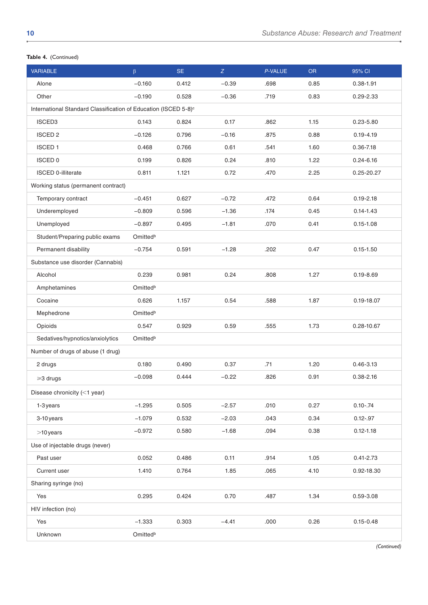### **Table 4.** (Continued)

| <b>VARIABLE</b>                                                             | $\beta$              | SE.   | Z       | P-VALUE | <b>OR</b> | 95% CI         |
|-----------------------------------------------------------------------------|----------------------|-------|---------|---------|-----------|----------------|
| Alone                                                                       | $-0.160$             | 0.412 | $-0.39$ | .698    | 0.85      | $0.38 - 1.91$  |
| Other                                                                       | $-0.190$             | 0.528 | $-0.36$ | .719    | 0.83      | $0.29 - 2.33$  |
| International Standard Classification of Education (ISCED 5-8) <sup>c</sup> |                      |       |         |         |           |                |
| ISCED3                                                                      | 0.143                | 0.824 | 0.17    | .862    | 1.15      | $0.23 - 5.80$  |
| <b>ISCED 2</b>                                                              | $-0.126$             | 0.796 | $-0.16$ | .875    | 0.88      | $0.19 - 4.19$  |
| <b>ISCED1</b>                                                               | 0.468                | 0.766 | 0.61    | .541    | 1.60      | $0.36 - 7.18$  |
| <b>ISCED 0</b>                                                              | 0.199                | 0.826 | 0.24    | .810    | 1.22      | $0.24 - 6.16$  |
| <b>ISCED 0-illiterate</b>                                                   | 0.811                | 1.121 | 0.72    | .470    | 2.25      | $0.25 - 20.27$ |
| Working status (permanent contract)                                         |                      |       |         |         |           |                |
| Temporary contract                                                          | $-0.451$             | 0.627 | $-0.72$ | .472    | 0.64      | $0.19 - 2.18$  |
| Underemployed                                                               | $-0.809$             | 0.596 | $-1.36$ | .174    | 0.45      | $0.14 - 1.43$  |
| Unemployed                                                                  | $-0.897$             | 0.495 | $-1.81$ | .070    | 0.41      | $0.15 - 1.08$  |
| Student/Preparing public exams                                              | Omitted <sup>b</sup> |       |         |         |           |                |
| Permanent disability                                                        | $-0.754$             | 0.591 | $-1.28$ | .202    | 0.47      | $0.15 - 1.50$  |
| Substance use disorder (Cannabis)                                           |                      |       |         |         |           |                |
| Alcohol                                                                     | 0.239                | 0.981 | 0.24    | .808    | 1.27      | $0.19 - 8.69$  |
| Amphetamines                                                                | Omitted <sup>b</sup> |       |         |         |           |                |
| Cocaine                                                                     | 0.626                | 1.157 | 0.54    | .588    | 1.87      | 0.19-18.07     |
| Mephedrone                                                                  | Omitted <sup>b</sup> |       |         |         |           |                |
| Opioids                                                                     | 0.547                | 0.929 | 0.59    | .555    | 1.73      | $0.28 - 10.67$ |
| Sedatives/hypnotics/anxiolytics                                             | Omitted <sup>b</sup> |       |         |         |           |                |
| Number of drugs of abuse (1 drug)                                           |                      |       |         |         |           |                |
| 2 drugs                                                                     | 0.180                | 0.490 | 0.37    | .71     | 1.20      | $0.46 - 3.13$  |
| ≥3 drugs                                                                    | $-0.098$             | 0.444 | $-0.22$ | .826    | 0.91      | $0.38 - 2.16$  |
| Disease chronicity (<1 year)                                                |                      |       |         |         |           |                |
| $1-3$ years                                                                 | $-1.295$             | 0.505 | $-2.57$ | .010    | 0.27      | $0.10 - .74$   |
| 3-10 years                                                                  | $-1.079$             | 0.532 | $-2.03$ | .043    | 0.34      | $0.12 - .97$   |
| $>10$ years                                                                 | $-0.972$             | 0.580 | $-1.68$ | .094    | 0.38      | $0.12 - 1.18$  |
| Use of injectable drugs (never)                                             |                      |       |         |         |           |                |
| Past user                                                                   | 0.052                | 0.486 | 0.11    | .914    | 1.05      | $0.41 - 2.73$  |
| Current user                                                                | 1.410                | 0.764 | 1.85    | .065    | 4.10      | 0.92-18.30     |
| Sharing syringe (no)                                                        |                      |       |         |         |           |                |
| Yes                                                                         | 0.295                | 0.424 | 0.70    | .487    | 1.34      | $0.59 - 3.08$  |
| HIV infection (no)                                                          |                      |       |         |         |           |                |
| Yes                                                                         | $-1.333$             | 0.303 | $-4.41$ | .000    | 0.26      | $0.15 - 0.48$  |
| Unknown                                                                     | Omitted <sup>b</sup> |       |         |         |           |                |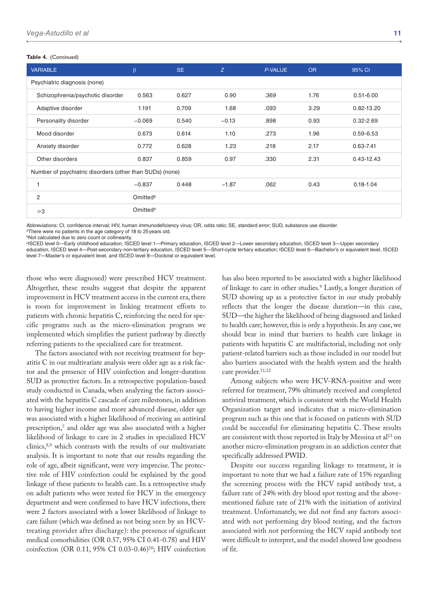#### **Table 4.** (Continued)

| <b>VARIABLE</b>                                          | $\beta$              | SE.   | Z       | P-VALUE | <b>OR</b> | 95% CI         |  |  |  |
|----------------------------------------------------------|----------------------|-------|---------|---------|-----------|----------------|--|--|--|
| Psychiatric diagnosis (none)                             |                      |       |         |         |           |                |  |  |  |
| Schizophrenia/psychotic disorder                         | 0.563                | 0.627 | 0.90    | .369    | 1.76      | $0.51 - 6.00$  |  |  |  |
| Adaptive disorder                                        | 1.191                | 0.709 | 1.68    | .093    | 3.29      | $0.82 - 13.20$ |  |  |  |
| Personality disorder                                     | $-0.069$             | 0.540 | $-0.13$ | .898    | 0.93      | $0.32 - 2.69$  |  |  |  |
| Mood disorder                                            | 0.673                | 0.614 | 1.10    | .273    | 1.96      | $0.59 - 6.53$  |  |  |  |
| Anxiety disorder                                         | 0.772                | 0.628 | 1.23    | .218    | 2.17      | $0.63 - 7.41$  |  |  |  |
| Other disorders                                          | 0.837                | 0.859 | 0.97    | .330    | 2.31      | $0.43 - 12.43$ |  |  |  |
| Number of psychiatric disorders (other than SUDs) (none) |                      |       |         |         |           |                |  |  |  |
|                                                          | $-0.837$             | 0.448 | $-1.87$ | .062    | 0.43      | $0.18 - 1.04$  |  |  |  |
| 2                                                        | Omitted <sup>b</sup> |       |         |         |           |                |  |  |  |
| $\geqslant$ 3                                            | Omitted <sup>b</sup> |       |         |         |           |                |  |  |  |

Abbreviations: CI, confidence interval; HIV, human immunodeficiency virus; OR, odds ratio; SE, standard error; SUD, substance use disorder.

aThere were no patients in the age category of 18 to 25 years old.

**bNot calculated due to zero count or collinearity.** 

cISCED level 0—Early childhood education, ISCED level 1—Primary education, ISCED level 2—Lower secondary education, ISCED level 3—Upper secondary education, ISCED level 4—Post-secondary non-tertiary education, ISCED level 5—Short-cycle tertiary education; ISCED level 6—Bachelor's or equivalent level, ISCED level 7—Master's or equivalent level, and ISCED level 8—Doctoral or equivalent level.

those who were diagnosed) were prescribed HCV treatment. Altogether, these results suggest that despite the apparent improvement in HCV treatment access in the current era, there is room for improvement in linking treatment efforts to patients with chronic hepatitis C, reinforcing the need for specific programs such as the micro-elimination program we implemented which simplifies the patient pathway by directly referring patients to the specialized care for treatment.

The factors associated with not receiving treatment for hepatitis C in our multivariate analysis were older age as a risk factor and the presence of HIV coinfection and longer-duration SUD as protective factors. In a retrospective population-based study conducted in Canada, when analyzing the factors associated with the hepatitis C cascade of care milestones, in addition to having higher income and more advanced disease, older age was associated with a higher likelihood of receiving an antiviral prescription,<sup>7</sup> and older age was also associated with a higher likelihood of linkage to care in 2 studies in specialized HCV clinics,8,9 which contrasts with the results of our multivariate analysis. It is important to note that our results regarding the role of age, albeit significant, were very imprecise. The protective role of HIV coinfection could be explained by the good linkage of these patients to health care. In a retrospective study on adult patients who were tested for HCV in the emergency department and were confirmed to have HCV infections, there were 2 factors associated with a lower likelihood of linkage to care failure (which was defined as not being seen by an HCVtreating provider after discharge): the presence of significant medical comorbidities (OR 0.57, 95% CI 0.41-0.78) and HIV coinfection (OR 0.11, 95% CI 0.03-0.46)10; HIV coinfection has also been reported to be associated with a higher likelihood of linkage to care in other studies.9 Lastly, a longer duration of SUD showing up as a protective factor in our study probably reflects that the longer the disease duration—in this case, SUD—the higher the likelihood of being diagnosed and linked to health care; however, this is only a hypothesis. In any case, we should bear in mind that barriers to health care linkage in patients with hepatitis C are multifactorial, including not only patient-related barriers such as those included in our model but also barriers associated with the health system and the health care provider.<sup>11,12</sup>

Among subjects who were HCV-RNA-positive and were referred for treatment, 79% ultimately received and completed antiviral treatment, which is consistent with the World Health Organization target and indicates that a micro-elimination program such as this one that is focused on patients with SUD could be successful for eliminating hepatitis C. These results are consistent with those reported in Italy by Messina et al<sup>13</sup> on another micro-elimination program in an addiction center that specifically addressed PWID.

Despite our success regarding linkage to treatment, it is important to note that we had a failure rate of 15% regarding the screening process with the HCV rapid antibody test, a failure rate of 24% with dry blood spot testing and the abovementioned failure rate of 21% with the initiation of antiviral treatment. Unfortunately, we did not find any factors associated with not performing dry blood testing, and the factors associated with not performing the HCV rapid antibody test were difficult to interpret, and the model showed low goodness of fit.